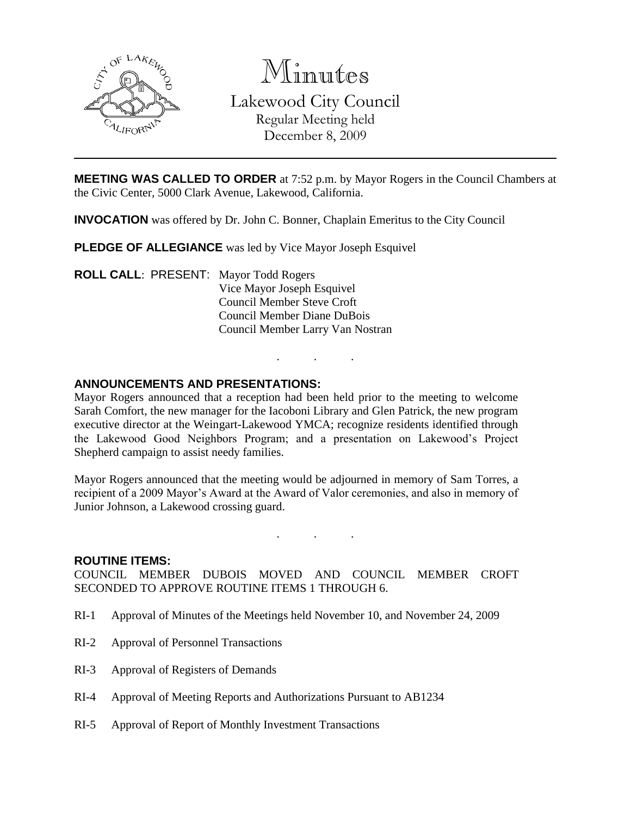

Minutes Lakewood City Council Regular Meeting held December 8, 2009

**MEETING WAS CALLED TO ORDER** at 7:52 p.m. by Mayor Rogers in the Council Chambers at the Civic Center, 5000 Clark Avenue, Lakewood, California.

**INVOCATION** was offered by Dr. John C. Bonner, Chaplain Emeritus to the City Council

**PLEDGE OF ALLEGIANCE** was led by Vice Mayor Joseph Esquivel

**ROLL CALL**: PRESENT: Mayor Todd Rogers Vice Mayor Joseph Esquivel Council Member Steve Croft Council Member Diane DuBois Council Member Larry Van Nostran

#### **ANNOUNCEMENTS AND PRESENTATIONS:**

Mayor Rogers announced that a reception had been held prior to the meeting to welcome Sarah Comfort, the new manager for the Iacoboni Library and Glen Patrick, the new program executive director at the Weingart-Lakewood YMCA; recognize residents identified through the Lakewood Good Neighbors Program; and a presentation on Lakewood's Project Shepherd campaign to assist needy families.

. . .

Mayor Rogers announced that the meeting would be adjourned in memory of Sam Torres, a recipient of a 2009 Mayor's Award at the Award of Valor ceremonies, and also in memory of Junior Johnson, a Lakewood crossing guard.

. . .

#### **ROUTINE ITEMS:**

COUNCIL MEMBER DUBOIS MOVED AND COUNCIL MEMBER CROFT SECONDED TO APPROVE ROUTINE ITEMS 1 THROUGH 6.

- RI-1 Approval of Minutes of the Meetings held November 10, and November 24, 2009
- RI-2 Approval of Personnel Transactions
- RI-3 Approval of Registers of Demands
- RI-4 Approval of Meeting Reports and Authorizations Pursuant to AB1234
- RI-5 Approval of Report of Monthly Investment Transactions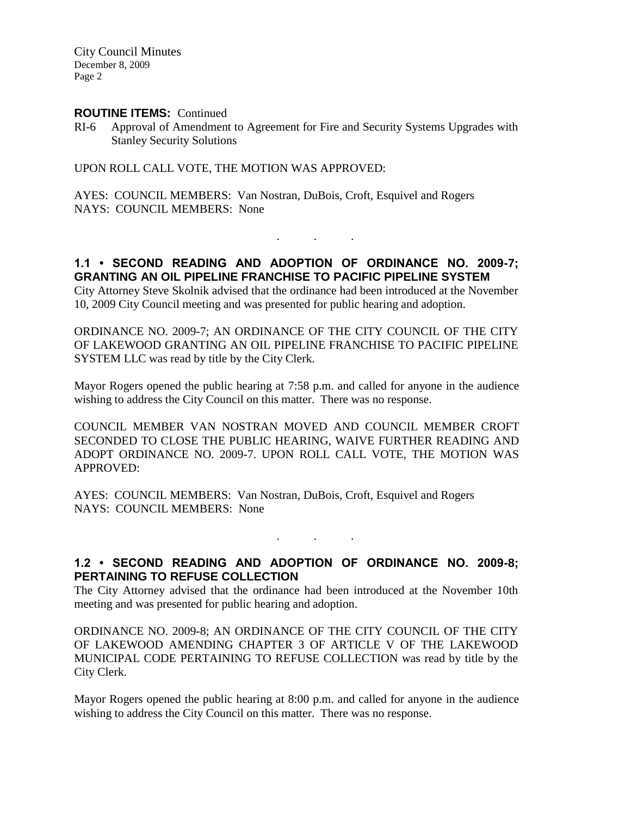City Council Minutes December 8, 2009 Page 2

#### **ROUTINE ITEMS:** Continued

RI-6 Approval of Amendment to Agreement for Fire and Security Systems Upgrades with Stanley Security Solutions

UPON ROLL CALL VOTE, THE MOTION WAS APPROVED:

AYES: COUNCIL MEMBERS: Van Nostran, DuBois, Croft, Esquivel and Rogers NAYS: COUNCIL MEMBERS: None

# **1.1 • SECOND READING AND ADOPTION OF ORDINANCE NO. 2009-7; GRANTING AN OIL PIPELINE FRANCHISE TO PACIFIC PIPELINE SYSTEM**

. . .

City Attorney Steve Skolnik advised that the ordinance had been introduced at the November 10, 2009 City Council meeting and was presented for public hearing and adoption.

ORDINANCE NO. 2009-7; AN ORDINANCE OF THE CITY COUNCIL OF THE CITY OF LAKEWOOD GRANTING AN OIL PIPELINE FRANCHISE TO PACIFIC PIPELINE SYSTEM LLC was read by title by the City Clerk.

Mayor Rogers opened the public hearing at 7:58 p.m. and called for anyone in the audience wishing to address the City Council on this matter. There was no response.

COUNCIL MEMBER VAN NOSTRAN MOVED AND COUNCIL MEMBER CROFT SECONDED TO CLOSE THE PUBLIC HEARING, WAIVE FURTHER READING AND ADOPT ORDINANCE NO. 2009-7. UPON ROLL CALL VOTE, THE MOTION WAS APPROVED:

AYES: COUNCIL MEMBERS: Van Nostran, DuBois, Croft, Esquivel and Rogers NAYS: COUNCIL MEMBERS: None

 $\mathbf{r}$  .  $\mathbf{r}$  ,  $\mathbf{r}$  ,  $\mathbf{r}$  ,  $\mathbf{r}$  ,  $\mathbf{r}$ 

### **1.2 • SECOND READING AND ADOPTION OF ORDINANCE NO. 2009-8; PERTAINING TO REFUSE COLLECTION**

The City Attorney advised that the ordinance had been introduced at the November 10th meeting and was presented for public hearing and adoption.

ORDINANCE NO. 2009-8; AN ORDINANCE OF THE CITY COUNCIL OF THE CITY OF LAKEWOOD AMENDING CHAPTER 3 OF ARTICLE V OF THE LAKEWOOD MUNICIPAL CODE PERTAINING TO REFUSE COLLECTION was read by title by the City Clerk.

Mayor Rogers opened the public hearing at 8:00 p.m. and called for anyone in the audience wishing to address the City Council on this matter. There was no response.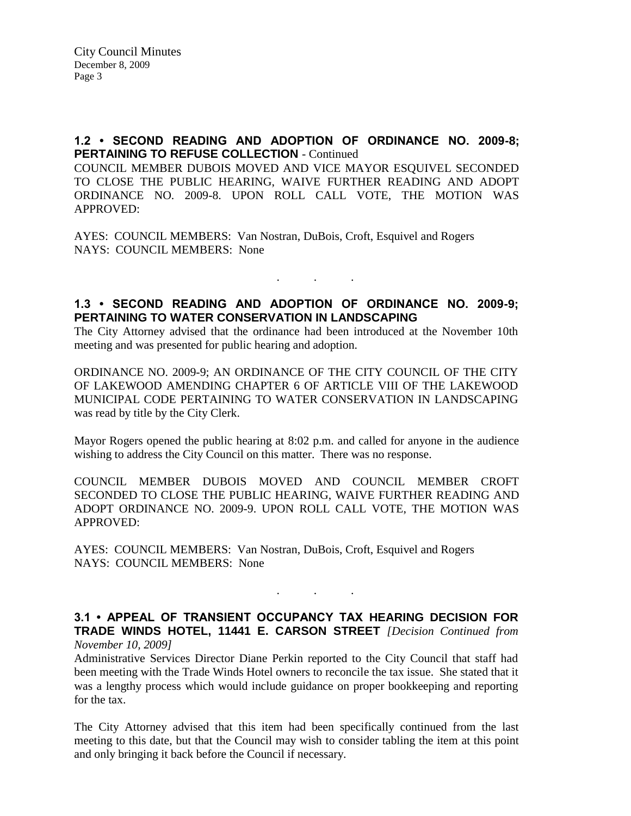# **1.2 • SECOND READING AND ADOPTION OF ORDINANCE NO. 2009-8; PERTAINING TO REFUSE COLLECTION - Continued**

COUNCIL MEMBER DUBOIS MOVED AND VICE MAYOR ESQUIVEL SECONDED TO CLOSE THE PUBLIC HEARING, WAIVE FURTHER READING AND ADOPT ORDINANCE NO. 2009-8. UPON ROLL CALL VOTE, THE MOTION WAS APPROVED:

AYES: COUNCIL MEMBERS: Van Nostran, DuBois, Croft, Esquivel and Rogers NAYS: COUNCIL MEMBERS: None

### **1.3 • SECOND READING AND ADOPTION OF ORDINANCE NO. 2009-9; PERTAINING TO WATER CONSERVATION IN LANDSCAPING**

. . .

The City Attorney advised that the ordinance had been introduced at the November 10th meeting and was presented for public hearing and adoption.

ORDINANCE NO. 2009-9; AN ORDINANCE OF THE CITY COUNCIL OF THE CITY OF LAKEWOOD AMENDING CHAPTER 6 OF ARTICLE VIII OF THE LAKEWOOD MUNICIPAL CODE PERTAINING TO WATER CONSERVATION IN LANDSCAPING was read by title by the City Clerk.

Mayor Rogers opened the public hearing at 8:02 p.m. and called for anyone in the audience wishing to address the City Council on this matter. There was no response.

COUNCIL MEMBER DUBOIS MOVED AND COUNCIL MEMBER CROFT SECONDED TO CLOSE THE PUBLIC HEARING, WAIVE FURTHER READING AND ADOPT ORDINANCE NO. 2009-9. UPON ROLL CALL VOTE, THE MOTION WAS APPROVED:

AYES: COUNCIL MEMBERS: Van Nostran, DuBois, Croft, Esquivel and Rogers NAYS: COUNCIL MEMBERS: None

#### **3.1 • APPEAL OF TRANSIENT OCCUPANCY TAX HEARING DECISION FOR TRADE WINDS HOTEL, 11441 E. CARSON STREET** *[Decision Continued from November 10, 2009]*

. . .

Administrative Services Director Diane Perkin reported to the City Council that staff had been meeting with the Trade Winds Hotel owners to reconcile the tax issue. She stated that it was a lengthy process which would include guidance on proper bookkeeping and reporting for the tax.

The City Attorney advised that this item had been specifically continued from the last meeting to this date, but that the Council may wish to consider tabling the item at this point and only bringing it back before the Council if necessary.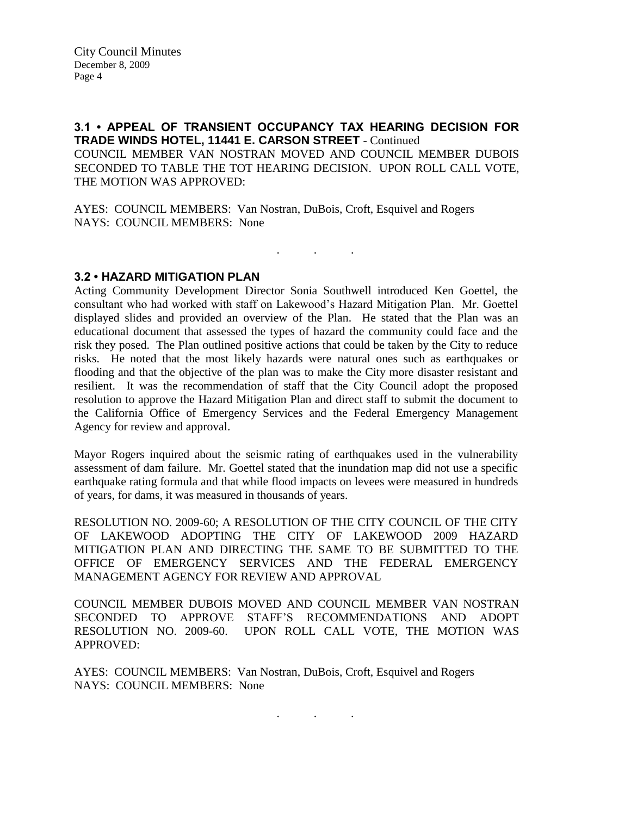#### **3.1 • APPEAL OF TRANSIENT OCCUPANCY TAX HEARING DECISION FOR TRADE WINDS HOTEL, 11441 E. CARSON STREET** - Continued

COUNCIL MEMBER VAN NOSTRAN MOVED AND COUNCIL MEMBER DUBOIS SECONDED TO TABLE THE TOT HEARING DECISION. UPON ROLL CALL VOTE, THE MOTION WAS APPROVED:

. . .

AYES: COUNCIL MEMBERS: Van Nostran, DuBois, Croft, Esquivel and Rogers NAYS: COUNCIL MEMBERS: None

**3.2 • HAZARD MITIGATION PLAN**

Acting Community Development Director Sonia Southwell introduced Ken Goettel, the consultant who had worked with staff on Lakewood's Hazard Mitigation Plan. Mr. Goettel displayed slides and provided an overview of the Plan. He stated that the Plan was an educational document that assessed the types of hazard the community could face and the risk they posed. The Plan outlined positive actions that could be taken by the City to reduce risks. He noted that the most likely hazards were natural ones such as earthquakes or flooding and that the objective of the plan was to make the City more disaster resistant and resilient. It was the recommendation of staff that the City Council adopt the proposed resolution to approve the Hazard Mitigation Plan and direct staff to submit the document to the California Office of Emergency Services and the Federal Emergency Management Agency for review and approval.

Mayor Rogers inquired about the seismic rating of earthquakes used in the vulnerability assessment of dam failure. Mr. Goettel stated that the inundation map did not use a specific earthquake rating formula and that while flood impacts on levees were measured in hundreds of years, for dams, it was measured in thousands of years.

RESOLUTION NO. 2009-60; A RESOLUTION OF THE CITY COUNCIL OF THE CITY OF LAKEWOOD ADOPTING THE CITY OF LAKEWOOD 2009 HAZARD MITIGATION PLAN AND DIRECTING THE SAME TO BE SUBMITTED TO THE OFFICE OF EMERGENCY SERVICES AND THE FEDERAL EMERGENCY MANAGEMENT AGENCY FOR REVIEW AND APPROVAL

COUNCIL MEMBER DUBOIS MOVED AND COUNCIL MEMBER VAN NOSTRAN SECONDED TO APPROVE STAFF'S RECOMMENDATIONS AND ADOPT RESOLUTION NO. 2009-60. UPON ROLL CALL VOTE, THE MOTION WAS APPROVED:

. . .

AYES: COUNCIL MEMBERS: Van Nostran, DuBois, Croft, Esquivel and Rogers NAYS: COUNCIL MEMBERS: None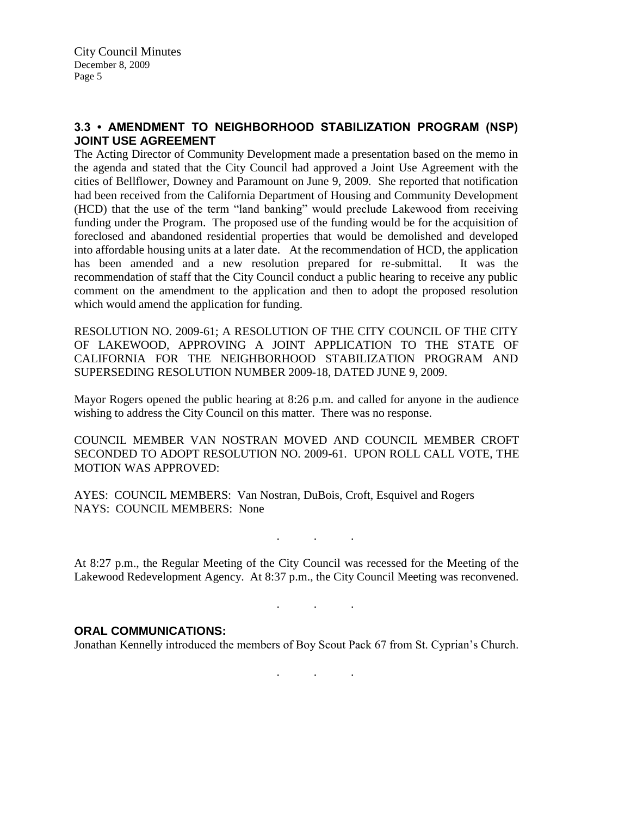# **3.3 • AMENDMENT TO NEIGHBORHOOD STABILIZATION PROGRAM (NSP) JOINT USE AGREEMENT**

The Acting Director of Community Development made a presentation based on the memo in the agenda and stated that the City Council had approved a Joint Use Agreement with the cities of Bellflower, Downey and Paramount on June 9, 2009. She reported that notification had been received from the California Department of Housing and Community Development (HCD) that the use of the term "land banking" would preclude Lakewood from receiving funding under the Program. The proposed use of the funding would be for the acquisition of foreclosed and abandoned residential properties that would be demolished and developed into affordable housing units at a later date. At the recommendation of HCD, the application has been amended and a new resolution prepared for re-submittal. It was the recommendation of staff that the City Council conduct a public hearing to receive any public comment on the amendment to the application and then to adopt the proposed resolution which would amend the application for funding.

RESOLUTION NO. 2009-61; A RESOLUTION OF THE CITY COUNCIL OF THE CITY OF LAKEWOOD, APPROVING A JOINT APPLICATION TO THE STATE OF CALIFORNIA FOR THE NEIGHBORHOOD STABILIZATION PROGRAM AND SUPERSEDING RESOLUTION NUMBER 2009-18, DATED JUNE 9, 2009.

Mayor Rogers opened the public hearing at 8:26 p.m. and called for anyone in the audience wishing to address the City Council on this matter. There was no response.

COUNCIL MEMBER VAN NOSTRAN MOVED AND COUNCIL MEMBER CROFT SECONDED TO ADOPT RESOLUTION NO. 2009-61. UPON ROLL CALL VOTE, THE MOTION WAS APPROVED:

AYES: COUNCIL MEMBERS: Van Nostran, DuBois, Croft, Esquivel and Rogers NAYS: COUNCIL MEMBERS: None

. . .

. . .

At 8:27 p.m., the Regular Meeting of the City Council was recessed for the Meeting of the Lakewood Redevelopment Agency. At 8:37 p.m., the City Council Meeting was reconvened.

#### **ORAL COMMUNICATIONS:**

Jonathan Kennelly introduced the members of Boy Scout Pack 67 from St. Cyprian's Church.

. . .